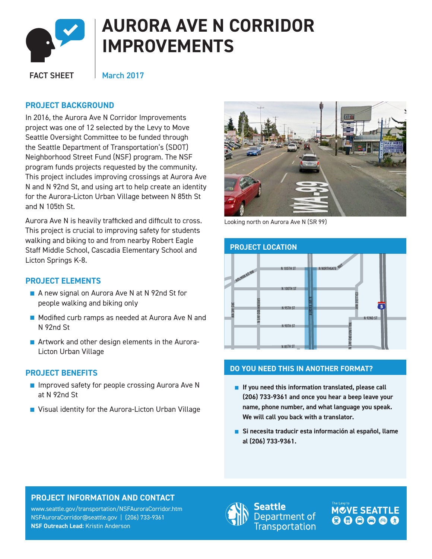

# **AURORA AVE N CORRIDOR IMPROVEMENTS**

FACT SHEET

March 2017

### **PROJECT BACKGROUND**

In 2016, the Aurora Ave N Corridor Improvements project was one of 12 selected by the Levy to Move Seattle Oversight Committee to be funded through the Seattle Department of Transportation's (SDOT) Neighborhood Street Fund (NSF) program. The NSF program funds projects requested by the community. This project includes improving crossings at Aurora Ave N and N 92nd St, and using art to help create an identity for the Aurora-Licton Urban Village between N 85th St and N 105th St.

Aurora Ave N is heavily trafficked and difficult to cross. This project is crucial to improving safety for students walking and biking to and from nearby Robert Eagle Staff Middle School, Cascadia Elementary School and Licton Springs K-8.

#### **PROJECT ELEMENTS**

- A new signal on Aurora Ave N at N 92nd St for people walking and biking only
- Modified curb ramps as needed at Aurora Ave N and N 92nd St
- Artwork and other design elements in the Aurora-Licton Urban Village

#### **PROJECT BENEFITS**

- Improved safety for people crossing Aurora Ave N at N 92nd St
- Visual identity for the Aurora-Licton Urban Village



Looking north on Aurora Ave N (SR 99)



## **DO YOU NEED THIS IN ANOTHER FORMAT?**

- If you need this information translated, please call **(206) 733-9361 and once you hear a beep leave your name, phone number, and what language you speak. We will call you back with a translator.**
- Si necesita traducir esta información al español, llame **al (206) 733-9361.**

## **PROJECT INFORMATION AND CONTACT**

www.seattle.gov/transportation/NSFAuroraCorridor.htm NSFAuroraCorridor@seattle.gov | (206) 733-9361 **NSF Outreach Lead:** Kristin Anderson



eattle Department of Transportation MOVE SEATTLE